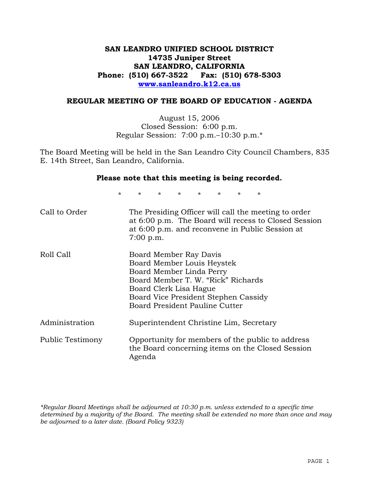# **SAN LEANDRO UNIFIED SCHOOL DISTRICT 14735 Juniper Street SAN LEANDRO, CALIFORNIA Phone: (510) 667-3522 Fax: (510) 678-5303 www.sanleandro.k12.ca.us**

### **REGULAR MEETING OF THE BOARD OF EDUCATION - AGENDA**

August 15, 2006 Closed Session: 6:00 p.m. Regular Session: 7:00 p.m.–10:30 p.m.\*

The Board Meeting will be held in the San Leandro City Council Chambers, 835 E. 14th Street, San Leandro, California.

### **Please note that this meeting is being recorded.**

\* \* \* \* \* \* \* \*

| Call to Order    | The Presiding Officer will call the meeting to order<br>at 6:00 p.m. The Board will recess to Closed Session<br>at 6:00 p.m. and reconvene in Public Session at<br>$7:00$ p.m.                                             |
|------------------|----------------------------------------------------------------------------------------------------------------------------------------------------------------------------------------------------------------------------|
| Roll Call        | Board Member Ray Davis<br>Board Member Louis Heystek<br>Board Member Linda Perry<br>Board Member T. W. "Rick" Richards<br>Board Clerk Lisa Hague<br>Board Vice President Stephen Cassidy<br>Board President Pauline Cutter |
| Administration   | Superintendent Christine Lim, Secretary                                                                                                                                                                                    |
| Public Testimony | Opportunity for members of the public to address<br>the Board concerning items on the Closed Session<br>Agenda                                                                                                             |

*\*Regular Board Meetings shall be adjourned at 10:30 p.m. unless extended to a specific time determined by a majority of the Board. The meeting shall be extended no more than once and may be adjourned to a later date. (Board Policy 9323)*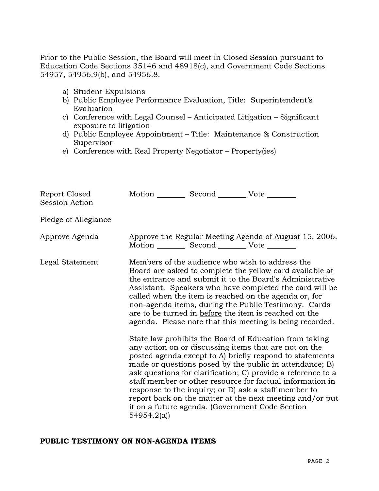Prior to the Public Session, the Board will meet in Closed Session pursuant to Education Code Sections 35146 and 48918(c), and Government Code Sections 54957, 54956.9(b), and 54956.8.

- a) Student Expulsions
- b) Public Employee Performance Evaluation, Title: Superintendent's Evaluation
- c) Conference with Legal Counsel Anticipated Litigation Significant exposure to litigation
- d) Public Employee Appointment Title: Maintenance & Construction Supervisor
- e) Conference with Real Property Negotiator Property(ies)

| Report Closed<br>Session Action | Motion Second Vote                                     |                                                                                                                                                                                                                                                                                                                                                                                                                                                                                                                                                                                                                                                                                                                    |
|---------------------------------|--------------------------------------------------------|--------------------------------------------------------------------------------------------------------------------------------------------------------------------------------------------------------------------------------------------------------------------------------------------------------------------------------------------------------------------------------------------------------------------------------------------------------------------------------------------------------------------------------------------------------------------------------------------------------------------------------------------------------------------------------------------------------------------|
| Pledge of Allegiance            |                                                        |                                                                                                                                                                                                                                                                                                                                                                                                                                                                                                                                                                                                                                                                                                                    |
| Approve Agenda                  | Motion ___________ Second _____________ Vote _________ | Approve the Regular Meeting Agenda of August 15, 2006.                                                                                                                                                                                                                                                                                                                                                                                                                                                                                                                                                                                                                                                             |
| Legal Statement                 |                                                        | Members of the audience who wish to address the<br>Board are asked to complete the yellow card available at<br>the entrance and submit it to the Board's Administrative<br>Assistant. Speakers who have completed the card will be<br>called when the item is reached on the agenda or, for<br>non-agenda items, during the Public Testimony. Cards<br>are to be turned in before the item is reached on the<br>agenda. Please note that this meeting is being recorded.<br>State law prohibits the Board of Education from taking<br>any action on or discussing items that are not on the<br>posted agenda except to A) briefly respond to statements<br>made or questions posed by the public in attendance; B) |
|                                 | 54954.2(a)                                             | ask questions for clarification; C) provide a reference to a<br>staff member or other resource for factual information in<br>response to the inquiry; or D) ask a staff member to<br>report back on the matter at the next meeting and/or put<br>it on a future agenda. (Government Code Section                                                                                                                                                                                                                                                                                                                                                                                                                   |

### **PUBLIC TESTIMONY ON NON-AGENDA ITEMS**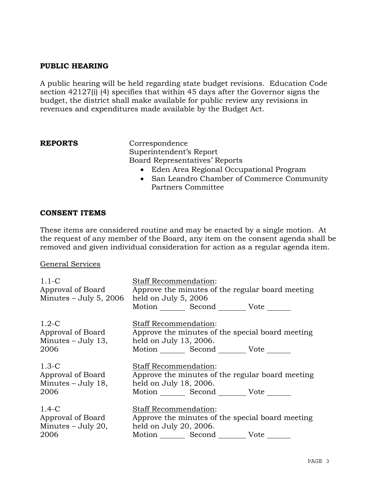# **PUBLIC HEARING**

A public hearing will be held regarding state budget revisions. Education Code section 42127(i) (4) specifies that within 45 days after the Governor signs the budget, the district shall make available for public review any revisions in revenues and expenditures made available by the Budget Act.

Correspondence Superintendent's Report Board Representatives' Reports

- Eden Area Regional Occupational Program
- San Leandro Chamber of Commerce Community Partners Committee

## **CONSENT ITEMS**

These items are considered routine and may be enacted by a single motion. At the request of any member of the Board, any item on the consent agenda shall be removed and given individual consideration for action as a regular agenda item.

General Services

| $1.1 - C$<br>Approval of Board<br>Minutes $-$ July 5, 2006 | Staff Recommendation:<br>Approve the minutes of the regular board meeting<br>held on July 5, 2006<br>Motion _________ Second _________ Vote _______ |
|------------------------------------------------------------|-----------------------------------------------------------------------------------------------------------------------------------------------------|
| $1.2-C$                                                    | Staff Recommendation:                                                                                                                               |
| Approval of Board                                          | Approve the minutes of the special board meeting                                                                                                    |
| $Minutes - July 13,$                                       | held on July 13, 2006.                                                                                                                              |
| 2006                                                       | Motion Second Vote                                                                                                                                  |
| $1.3-C$                                                    | <b>Staff Recommendation:</b>                                                                                                                        |
| Approval of Board                                          | Approve the minutes of the regular board meeting                                                                                                    |
| Minutes $-$ July 18,                                       | held on July 18, 2006.                                                                                                                              |
| 2006                                                       | Motion _________ Second _________ Vote _______                                                                                                      |
| $1.4-C$                                                    | <b>Staff Recommendation:</b>                                                                                                                        |
| Approval of Board                                          | Approve the minutes of the special board meeting                                                                                                    |
| Minutes – July 20,                                         | held on July 20, 2006.                                                                                                                              |
| 2006                                                       | Motion Second Vote                                                                                                                                  |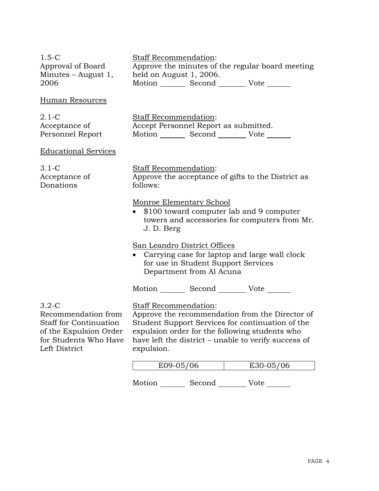| $1.5-C$<br>Approval of Board<br>Minutes $-$ August 1,<br>2006                                                                       | Staff Recommendation:<br>Approve the minutes of the regular board meeting<br>held on August 1, 2006.<br>Motion _________ Second __________ Vote _______                                                                                              |  |
|-------------------------------------------------------------------------------------------------------------------------------------|------------------------------------------------------------------------------------------------------------------------------------------------------------------------------------------------------------------------------------------------------|--|
| Human Resources                                                                                                                     |                                                                                                                                                                                                                                                      |  |
| $2.1 - C$<br>Acceptance of<br>Personnel Report                                                                                      | Staff Recommendation:<br>Accept Personnel Report as submitted.<br>Motion _________ Second _________ Vote _______                                                                                                                                     |  |
| <b>Educational Services</b>                                                                                                         |                                                                                                                                                                                                                                                      |  |
| $3.1-C$<br>Acceptance of<br>Donations                                                                                               | Staff Recommendation:<br>Approve the acceptance of gifts to the District as<br>follows:                                                                                                                                                              |  |
|                                                                                                                                     | Monroe Elementary School<br>• \$100 toward computer lab and 9 computer<br>towers and accessories for computers from Mr.<br>J. D. Berg                                                                                                                |  |
|                                                                                                                                     | San Leandro District Offices<br>Carrying case for laptop and large wall clock<br>$\bullet$<br>for use in Student Support Services<br>Department from Al Acuna                                                                                        |  |
|                                                                                                                                     | Motion _________ Second _________ Vote _______                                                                                                                                                                                                       |  |
| $3.2-C$<br>Recommendation from<br><b>Staff for Continuation</b><br>of the Expulsion Order<br>for Students Who Have<br>Left District | Staff Recommendation:<br>Approve the recommendation from the Director of<br>Student Support Services for continuation of the<br>expulsion order for the following students who<br>have left the district – unable to verify success of<br>expulsion. |  |

| C/OC | 10< |
|------|-----|

Motion Second Vote \_\_\_\_\_\_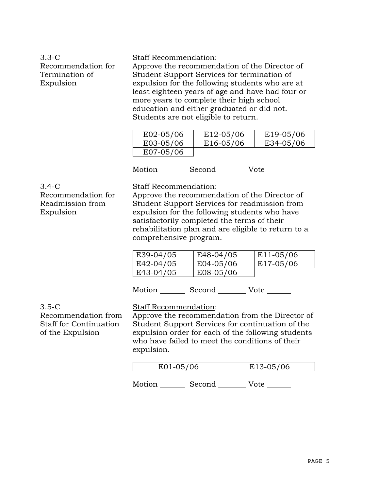# 3.3-C Recommendation for Termination of Expulsion

### Staff Recommendation:

Approve the recommendation of the Director of Student Support Services for termination of expulsion for the following students who are at least eighteen years of age and have had four or more years to complete their high school education and either graduated or did not. Students are not eligible to return.

| E02-05/06 | E <sub>12</sub> -05/06 | E19-05/06 |
|-----------|------------------------|-----------|
| E03-05/06 | E16-05/06              | E34-05/06 |
| E07-05/06 |                        |           |

Motion Second Vote

3.4-C

Recommendation for Readmission from Expulsion

Staff Recommendation:

Approve the recommendation of the Director of Student Support Services for readmission from expulsion for the following students who have satisfactorily completed the terms of their rehabilitation plan and are eligible to return to a comprehensive program.

| E39-04/05 | E48-04/05   | E <sub>11</sub> -05/06 |
|-----------|-------------|------------------------|
| E42-04/05 | $E04-05/06$ | E17-05/06              |
| E43-04/05 | E08-05/06   |                        |

Motion Second Vote

# 3.5-C

Recommendation from Staff for Continuation of the Expulsion

Staff Recommendation:

Approve the recommendation from the Director of Student Support Services for continuation of the expulsion order for each of the following students who have failed to meet the conditions of their expulsion.

Motion Second Vote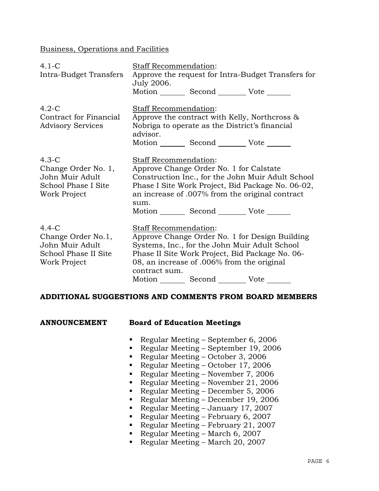Business, Operations and Facilities

| $4.1-C$<br>Intra-Budget Transfers                                                          | Staff Recommendation:<br>Approve the request for Intra-Budget Transfers for<br>July 2006.                                                                                                                                                                        |  |
|--------------------------------------------------------------------------------------------|------------------------------------------------------------------------------------------------------------------------------------------------------------------------------------------------------------------------------------------------------------------|--|
|                                                                                            | Motion Second Vote ______                                                                                                                                                                                                                                        |  |
| $4.2-C$<br>Contract for Financial<br><b>Advisory Services</b>                              | Staff Recommendation:<br>Approve the contract with Kelly, Northcross &<br>Nobriga to operate as the District's financial<br>advisor.<br>Motion _________ Second __________ Vote _______                                                                          |  |
| $4.3-C$<br>Change Order No. 1,<br>John Muir Adult<br>School Phase I Site<br>Work Project   | Staff Recommendation:<br>Approve Change Order No. 1 for Calstate<br>Construction Inc., for the John Muir Adult School<br>Phase I Site Work Project, Bid Package No. 06-02,<br>an increase of .007% from the original contract<br>sum.<br>Motion Second Vote      |  |
| $4.4 - C$<br>Change Order No.1,<br>John Muir Adult<br>School Phase II Site<br>Work Project | Staff Recommendation:<br>Approve Change Order No. 1 for Design Building<br>Systems, Inc., for the John Muir Adult School<br>Phase II Site Work Project, Bid Package No. 06-<br>08, an increase of .006% from the original<br>contract sum.<br>Motion Second Vote |  |

### **ADDITIONAL SUGGESTIONS AND COMMENTS FROM BOARD MEMBERS**

| <b>ANNOUNCEMENT</b> | <b>Board of Education Meetings</b> |
|---------------------|------------------------------------|
|                     |                                    |

- Regular Meeting September 6, 2006
- Regular Meeting September 19, 2006
- Regular Meeting October 3, 2006
- Regular Meeting October 17, 2006
- Regular Meeting November 7, 2006
- Regular Meeting November 21, 2006
- Regular Meeting December 5, 2006
- Regular Meeting December 19, 2006
- Regular Meeting January 17, 2007
- Regular Meeting February 6, 2007
- Regular Meeting February 21, 2007
- Regular Meeting March 6, 2007
- Regular Meeting March 20, 2007